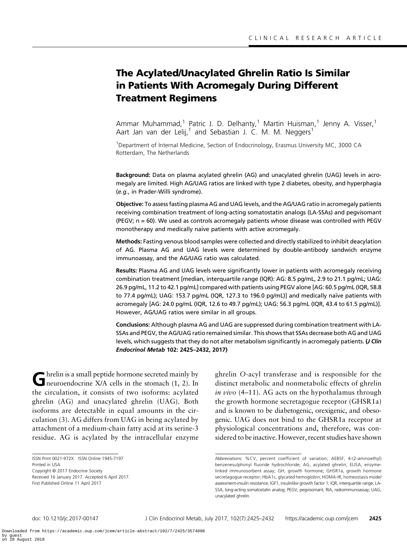# The Acylated/Unacylated Ghrelin Ratio Is Similar in Patients With Acromegaly During Different Treatment Regimens

Ammar Muhammad,<sup>1</sup> Patric J. D. Delhanty,<sup>1</sup> Martin Huisman,<sup>1</sup> Jenny A. Visser,<sup>1</sup> Aart Jan van der Lelij,<sup>1</sup> and Sebastian J. C. M. M. Neggers<sup>1</sup>

<sup>1</sup>Department of Internal Medicine, Section of Endocrinology, Erasmus University MC, 3000 CA Rotterdam, The Netherlands

Background: Data on plasma acylated ghrelin (AG) and unacylated ghrelin (UAG) levels in acromegaly are limited. High AG/UAG ratios are linked with type 2 diabetes, obesity, and hyperphagia (e.g., in Prader-Willi syndrome).

Objective: To assess fasting plasma AG and UAG levels, and the AG/UAG ratio in acromegaly patients receiving combination treatment of long-acting somatostatin analogs (LA-SSAs) and pegvisomant (PEGV; n = 60). We used as controls acromegaly patients whose disease was controlled with PEGV monotherapy and medically naïve patients with active acromegaly.

Methods: Fasting venous blood samples were collected and directly stabilized to inhibit deacylation of AG. Plasma AG and UAG levels were determined by double-antibody sandwich enzyme immunoassay, and the AG/UAG ratio was calculated.

Results: Plasma AG and UAG levels were significantly lower in patients with acromegaly receiving combination treatment [median, interquartile range (IQR): AG: 8.5 pg/mL, 2.9 to 21.1 pg/mL; UAG: 26.9 pg/mL, 11.2 to 42.1 pg/mL] compared with patients using PEGV alone [AG: 60.5 pg/mL (IQR, 58.8 to 77.4 pg/mL); UAG: 153.7 pg/mL (IQR, 127.3 to 196.0 pg/mL)] and medically naïve patients with acromegaly [AG: 24.0 pg/mL (IQR, 12.6 to 49.7 pg/mL); UAG: 56.3 pg/mL (IQR, 43.4 to 61.5 pg/mL)]. However, AG/UAG ratios were similar in all groups.

Conclusions: Although plasma AG and UAG are suppressed during combination treatment with LA-SSAs and PEGV, the AG/UAG ratio remained similar. This shows that SSAs decrease both AG and UAG levels, which suggests that they do not alter metabolism significantly in acromegaly patients. (*J Clin* Endocrinol Metab 102: 2425–2432, 2017)

Ghrelin is a small peptide hormone secreted mainly by<br>neuroendocrine X/A cells in the stomach [\(1, 2](#page-5-0)). In the circulation, it consists of two isoforms: acylated ghrelin (AG) and unacylated ghrelin (UAG). Both isoforms are detectable in equal amounts in the circulation ([3\)](#page-5-0). AG differs from UAG in being acylated by attachment of a medium-chain fatty acid at its serine-3 residue. AG is acylated by the intracellular enzyme

First Published Online 11 April 2017

ghrelin O-acyl transferase and is responsible for the distinct metabolic and nonmetabolic effects of ghrelin in vivo  $(4-11)$  $(4-11)$  $(4-11)$  $(4-11)$ . AG acts on the hypothalamus through the growth hormone secretagogue receptor (GHSR1a) and is known to be diabetogenic, orexigenic, and obesogenic. UAG does not bind to the GHSR1a receptor at physiological concentrations and, therefore, was considered to be inactive. However, recent studies have shown

ISSN Print 0021-972X ISSN Online 1945-7197

Printed in USA

Copyright © 2017 Endocrine Society Received 16 January 2017. Accepted 6 April 2017.

Abbreviations: %CV, percent coefficient of variation; AEBSF, 4-(2-aminoethyl) benzenesulphonyl fluoride hydrochloride; AG, acylated ghrelin; ELISA, enzymelinked immunosorbent assay; GH, growth hormone; GHSR1a, growth hormone secretagogue receptor; HbA1c, glycated hemoglobin; HOMA-IR, homeostasis model assessment-insulin resistance; IGF1, insulinlike growth factor 1; IQR, interquartile range; LA-SSA, long-acting somatostatin analog; PEGV, pegvisomant; RIA, radioimmunoassay; UAG, unacylated ghrelin.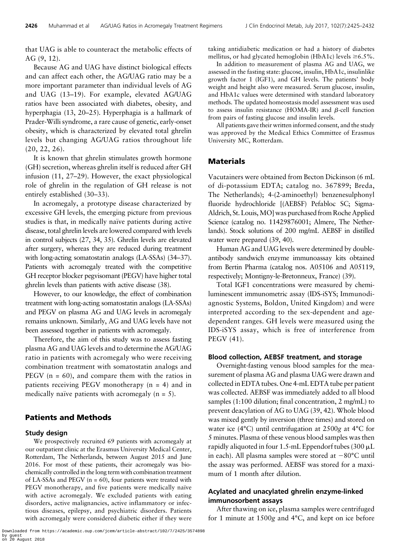that UAG is able to counteract the metabolic effects of AG ([9, 12\)](#page-5-0).

Because AG and UAG have distinct biological effects and can affect each other, the AG/UAG ratio may be a more important parameter than individual levels of AG and UAG ([13](#page-5-0)–[19](#page-5-0)). For example, elevated AG/UAG ratios have been associated with diabetes, obesity, and hyperphagia [\(13,](#page-5-0) [20](#page-6-0)–[25\)](#page-6-0). Hyperphagia is a hallmark of Prader-Willi syndrome, a rare cause of genetic, early-onset obesity, which is characterized by elevated total ghrelin levels but changing AG/UAG ratios throughout life ([20](#page-6-0), [22, 26\)](#page-6-0).

It is known that ghrelin stimulates growth hormone (GH) secretion, whereas ghrelin itself is reduced after GH infusion ([11,](#page-5-0) [27](#page-6-0)–[29\)](#page-6-0). However, the exact physiological role of ghrelin in the regulation of GH release is not entirely established [\(30](#page-6-0)–[33](#page-6-0)).

In acromegaly, a prototype disease characterized by excessive GH levels, the emerging picture from previous studies is that, in medically naïve patients during active disease, total ghrelin levels are lowered compared with levels in control subjects [\(27, 34, 35\)](#page-6-0). Ghrelin levels are elevated after surgery, whereas they are reduced during treatment with long-acting somatostatin analogs (LA-SSAs) [\(34](#page-6-0)–[37\)](#page-6-0). Patients with acromegaly treated with the competitive GH receptor blocker pegvisomant (PEGV) have higher total ghrelin levels than patients with active disease [\(38](#page-6-0)).

However, to our knowledge, the effect of combination treatment with long-acting somatostatin analogs (LA-SSAs) and PEGV on plasma AG and UAG levels in acromegaly remains unknown. Similarly, AG and UAG levels have not been assessed together in patients with acromegaly.

Therefore, the aim of this study was to assess fasting plasma AG and UAG levels and to determine the AG/UAG ratio in patients with acromegaly who were receiving combination treatment with somatostatin analogs and PEGV  $(n = 60)$ , and compare them with the ratios in patients receiving PEGV monotherapy (n = 4) and in medically naïve patients with acromegaly  $(n = 5)$ .

## Patients and Methods

#### Study design

We prospectively recruited 69 patients with acromegaly at our outpatient clinic at the Erasmus University Medical Center, Rotterdam, The Netherlands, between August 2015 and June 2016. For most of these patients, their acromegaly was biochemically controlled in the long term with combination treatment of LA-SSAs and PEGV ( $n = 60$ ), four patients were treated with PEGV monotherapy, and five patients were medically naïve with active acromegaly. We excluded patients with eating disorders, active malignancies, active inflammatory or infectious diseases, epilepsy, and psychiatric disorders. Patients with acromegaly were considered diabetic either if they were taking antidiabetic medication or had a history of diabetes mellitus, or had glycated hemoglobin (HbA1c) levels  $\geq 6.5\%$ .

In addition to measurement of plasma AG and UAG, we assessed in the fasting state: glucose, insulin, HbA1c, insulinlike growth factor 1 (IGF1), and GH levels. The patients' body weight and height also were measured. Serum glucose, insulin, and HbA1c values were determined with standard laboratory methods. The updated homeostasis model assessment was used to assess insulin resistance (HOMA-IR) and  $\beta$ -cell function from pairs of fasting glucose and insulin levels.

All patients gave their written informed consent, and the study was approved by the Medical Ethics Committee of Erasmus University MC, Rotterdam.

### Materials

Vacutainers were obtained from Becton Dickinson (6 mL of di-potassium EDTA; catalog no. 367899; Breda, The Netherlands); 4-(2-aminoethyl) benzenesulphonyl fluoride hydrochloride [(AEBSF) Pefabloc SC; Sigma-Aldrich, St. Louis,MO] was purchased from Roche Applied Science (catalog no. 11429876001; Almere, The Netherlands). Stock solutions of 200 mg/mL AEBSF in distilled water were prepared [\(39, 40\)](#page-6-0).

Human AG and UAG levels were determined by doubleantibody sandwich enzyme immunoassay kits obtained from Bertin Pharma (catalog nos. A05106 and A05119, respectively; Montigny-le-Bretonneux, France) [\(39\)](#page-6-0).

Total IGF1 concentrations were measured by chemiluminescent immunometric assay (IDS-iSYS; Immunodiagnostic Systems, Boldon, United Kingdom) and were interpreted according to the sex-dependent and agedependent ranges. GH levels were measured using the IDS-iSYS assay, which is free of interference from PEGV ([41\)](#page-6-0).

#### Blood collection, AEBSF treatment, and storage

Overnight-fasting venous blood samples for the measurement of plasma AG and plasma UAG were drawn and collected in EDTA tubes. One 4-mL EDTA tube per patient was collected. AEBSF was immediately added to all blood samples (1:100 dilution; final concentration, 2 mg/mL) to prevent deacylation of AG to UAG [\(39](#page-6-0), [42](#page-6-0)). Whole blood was mixed gently by inversion (three times) and stored on water ice (4°C) until centrifugation at 2500g at 4°C for 5 minutes. Plasma of these venous blood samples was then rapidly aliquoted in four 1.5-mL Eppendorf tubes (300  $\mu$ L in each). All plasma samples were stored at  $-80^{\circ}$ C until the assay was performed. AEBSF was stored for a maximum of 1 month after dilution.

## Acylated and unacylated ghrelin enzyme-linked immunosorbent assays

After thawing on ice, plasma samples were centrifuged for 1 minute at 1500g and 4°C, and kept on ice before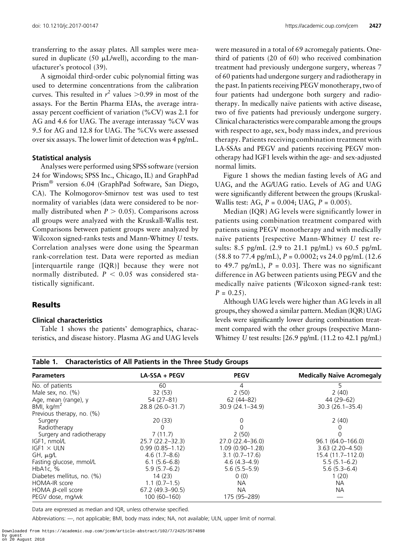transferring to the assay plates. All samples were measured in duplicate (50  $\mu$ L/well), according to the manufacturer's protocol ([39\)](#page-6-0).

A sigmoidal third-order cubic polynomial fitting was used to determine concentrations from the calibration curves. This resulted in  $r^2$  values  $>$  0.99 in most of the assays. For the Bertin Pharma EIAs, the average intraassay percent coefficient of variation (%CV) was 2.1 for AG and 4.6 for UAG. The average interassay %CV was 9.5 for AG and 12.8 for UAG. The %CVs were assessed over six assays. The lower limit of detection was 4 pg/mL.

#### Statistical analysis

Analyses were performed using SPSS software (version 24 for Windows; SPSS Inc., Chicago, IL) and GraphPad Prism® version 6.04 (GraphPad Software, San Diego, CA). The Kolmogorov-Smirnov test was used to test normality of variables (data were considered to be normally distributed when  $P > 0.05$ ). Comparisons across all groups were analyzed with the Kruskall-Wallis test. Comparisons between patient groups were analyzed by Wilcoxon signed-ranks tests and Mann-Whitney U tests. Correlation analyses were done using the Spearman rank-correlation test. Data were reported as median [interquartile range (IQR)] because they were not normally distributed.  $P < 0.05$  was considered statistically significant.

### Results

#### Clinical characteristics

Table 1 shows the patients' demographics, characteristics, and disease history. Plasma AG and UAG levels were measured in a total of 69 acromegaly patients. Onethird of patients (20 of 60) who received combination treatment had previously undergone surgery, whereas 7 of 60 patients had undergone surgery and radiotherapy in the past. In patients receiving PEGV monotherapy, two of four patients had undergone both surgery and radiotherapy. In medically naïve patients with active disease, two of five patients had previously undergone surgery. Clinical characteristics were comparable among the groups with respect to age, sex, body mass index, and previous therapy. Patients receiving combination treatment with LA-SSAs and PEGV and patients receiving PEGV monotherapy had IGF1 levels within the age- and sex-adjusted normal limits.

[Figure 1](#page-3-0) shows the median fasting levels of AG and UAG, and the AG/UAG ratio. Levels of AG and UAG were significantly different between the groups (Kruskal-Wallis test: AG,  $P = 0.004$ ; UAG,  $P = 0.005$ ).

Median (IQR) AG levels were significantly lower in patients using combination treatment compared with patients using PEGV monotherapy and with medically naïve patients [respective Mann-Whitney U test results: 8.5 pg/mL (2.9 to 21.1 pg/mL) vs 60.5 pg/mL  $(58.8 \text{ to } 77.4 \text{ pg/mL}), P = 0.0002$ ; vs 24.0 pg/mL (12.6) to 49.7 pg/mL),  $P = 0.03$ . There was no significant difference in AG between patients using PEGV and the medically naïve patients (Wilcoxon signed-rank test:  $P = 0.25$ .

Although UAG levels were higher than AG levels in all groups, they showed a similar pattern. Median (IQR) UAG levels were significantly lower during combination treatment compared with the other groups (respective Mann-Whitney U test results: [26.9 pg/mL (11.2 to 42.1 pg/mL)

### Table 1. Characteristics of All Patients in the Three Study Groups

| <b>Parameters</b>          | LA-SSA + PEGV       | <b>PEGV</b>         | <b>Medically Naïve Acromegaly</b> |
|----------------------------|---------------------|---------------------|-----------------------------------|
| No. of patients            | 60                  | 4                   | 5.                                |
| Male sex, no. $(\%)$       | 32(53)              | 2(50)               | 2(40)                             |
| Age, mean (range), y       | 54 (27-81)          | $62(44-82)$         | 44 (29-62)                        |
| BMI, kg/m <sup>2</sup>     | 28.8 (26.0-31.7)    | $30.9(24.1 - 34.9)$ | $30.3(26.1 - 35.4)$               |
| Previous therapy, no. (%)  |                     |                     |                                   |
| Surgery                    | 20(33)              | $\left( \right)$    | 2(40)                             |
| Radiotherapy               | 0                   |                     | 0                                 |
| Surgery and radiotherapy   | 7(11.7)             | 2(50)               |                                   |
| IGF1, nmol/L               | $25.7(22.2 - 32.3)$ | 27.0 (22.4 - 36.0)  | 96.1 (64.0-166.0)                 |
| $IGF1 \times ULN$          | $0.99(0.85 - 1.12)$ | $1.09(0.90 - 1.28)$ | $3.63(2.20 - 4.50)$               |
| GH, µg/L                   | $4.6(1.7 - 8.6)$    | $3.1(0.7-17.6)$     | 15.4 (11.7–112.0)                 |
| Fasting glucose, mmol/L    | $6.1(5.6-6.8)$      | $4.6(4.3 - 4.9)$    | $5.5(5.1 - 6.2)$                  |
| HbA <sub>1</sub> c, $%$    | $5.9(5.7-6.2)$      | $5.6(5.5-5.9)$      | $5.6(5.3 - 6.4)$                  |
| Diabetes mellitus, no. (%) | 14(23)              | 0(0)                | 1(20)                             |
| HOMA-IR score              | $1.1(0.7-1.5)$      | NA.                 | <b>NA</b>                         |
| HOMA $\beta$ -cell score   | 67.2 (49.3-90.5)    | <b>NA</b>           | <b>NA</b>                         |
| PEGV dose, mg/wk           | 100 (60-160)        | 175 (95-289)        |                                   |

Data are expressed as median and IQR, unless otherwise specified.

Abbreviations: —, not applicable; BMI, body mass index; NA, not available; ULN, upper limit of normal.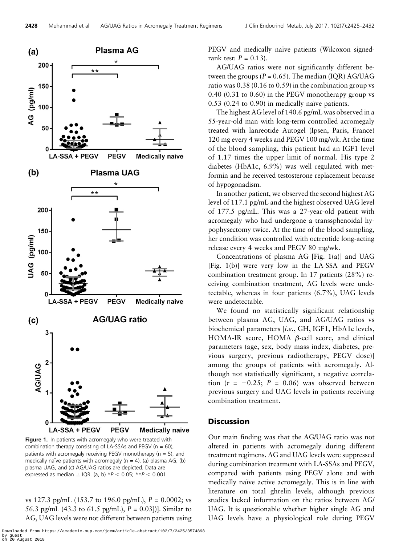<span id="page-3-0"></span>

Figure 1. In patients with acromegaly who were treated with combination therapy consisting of LA-SSAs and PEGV ( $n = 60$ ), patients with acromegaly receiving PEGV monotherapy (n = 5), and medically naïve patients with acromegaly ( $n = 4$ ), (a) plasma AG, (b) plasma UAG, and (c) AG/UAG ratios are depicted. Data are expressed as median  $\pm$  IQR. (a, b) \*P < 0.05; \*\*P < 0.001.

vs 127.3 pg/mL (153.7 to 196.0 pg/mL),  $P = 0.0002$ ; vs 56.3 pg/mL (43.3 to 61.5 pg/mL),  $P = 0.03$ ])]. Similar to AG, UAG levels were not different between patients using PEGV and medically naïve patients (Wilcoxon signedrank test:  $P = 0.13$ ).

AG/UAG ratios were not significantly different between the groups ( $P = 0.65$ ). The median (IQR) AG/UAG ratio was 0.38 (0.16 to 0.59) in the combination group vs 0.40 (0.31 to 0.60) in the PEGV monotherapy group vs  $0.53$  (0.24 to 0.90) in medically naïve patients.

The highest AG level of 140.6 pg/mL was observed in a 55-year-old man with long-term controlled acromegaly treated with lanreotide Autogel (Ipsen, Paris, France) 120 mg every 4 weeks and PEGV 100 mg/wk. At the time of the blood sampling, this patient had an IGF1 level of 1.17 times the upper limit of normal. His type 2 diabetes (HbA1c, 6.9%) was well regulated with metformin and he received testosterone replacement because of hypogonadism.

In another patient, we observed the second highest AG level of 117.1 pg/mL and the highest observed UAG level of 177.5 pg/mL. This was a 27-year-old patient with acromegaly who had undergone a transsphenoidal hypophysectomy twice. At the time of the blood sampling, her condition was controlled with octreotide long-acting release every 4 weeks and PEGV 80 mg/wk.

Concentrations of plasma AG [Fig. 1(a)] and UAG [Fig. 1(b)] were very low in the LA-SSA and PEGV combination treatment group. In 17 patients (28%) receiving combination treatment, AG levels were undetectable, whereas in four patients (6.7%), UAG levels were undetectable.

We found no statistically significant relationship between plasma AG, UAG, and AG/UAG ratios vs biochemical parameters [i.e., GH, IGF1, HbA1c levels, HOMA-IR score, HOMA  $\beta$ -cell score, and clinical parameters (age, sex, body mass index, diabetes, previous surgery, previous radiotherapy, PEGV dose)] among the groups of patients with acromegaly. Although not statistically significant, a negative correlation  $(r = -0.25; P = 0.06)$  was observed between previous surgery and UAG levels in patients receiving combination treatment.

#### **Discussion**

Our main finding was that the AG/UAG ratio was not altered in patients with acromegaly during different treatment regimens. AG and UAG levels were suppressed during combination treatment with LA-SSAs and PEGV, compared with patients using PEGV alone and with medically naïve active acromegaly. This is in line with literature on total ghrelin levels, although previous studies lacked information on the ratios between AG/ UAG. It is questionable whether higher single AG and UAG levels have a physiological role during PEGV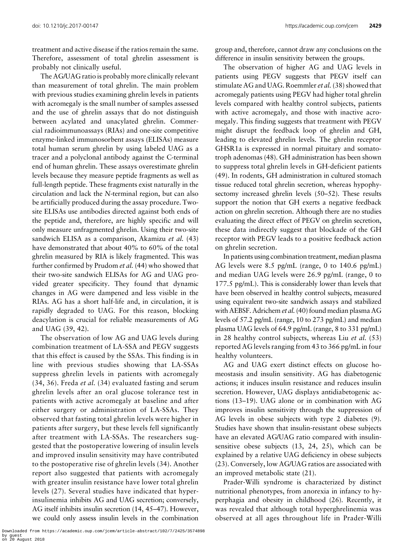treatment and active disease if the ratios remain the same. Therefore, assessment of total ghrelin assessment is probably not clinically useful.

The AG/UAG ratio is probably more clinically relevant than measurement of total ghrelin. The main problem with previous studies examining ghrelin levels in patients with acromegaly is the small number of samples assessed and the use of ghrelin assays that do not distinguish between acylated and unacylated ghrelin. Commercial radioimmunoassays (RIAs) and one-site competitive enzyme-linked immunosorbent assays (ELISAs) measure total human serum ghrelin by using labeled UAG as a tracer and a polyclonal antibody against the C-terminal end of human ghrelin. These assays overestimate ghrelin levels because they measure peptide fragments as well as full-length peptide. These fragments exist naturally in the circulation and lack the N-terminal region, but can also be artificially produced during the assay procedure. Twosite ELISAs use antibodies directed against both ends of the peptide and, therefore, are highly specific and will only measure unfragmented ghrelin. Using their two-site sandwich ELISA as a comparison, Akamizu et al. [\(43](#page-6-0)) have demonstrated that about 40% to 60% of the total ghrelin measured by RIA is likely fragmented. This was further confirmed by Prudom et al. [\(44](#page-6-0)) who showed that their two-site sandwich ELISAs for AG and UAG provided greater specificity. They found that dynamic changes in AG were dampened and less visible in the RIAs. AG has a short half-life and, in circulation, it is rapidly degraded to UAG. For this reason, blocking deacylation is crucial for reliable measurements of AG and UAG ([39, 42\)](#page-6-0).

The observation of low AG and UAG levels during combination treatment of LA-SSA and PEGV suggests that this effect is caused by the SSAs. This finding is in line with previous studies showing that LA-SSAs suppress ghrelin levels in patients with acromegaly  $(34, 36)$  $(34, 36)$  $(34, 36)$  $(34, 36)$  $(34, 36)$ . Freda *et al.*  $(34)$  evaluated fasting and serum ghrelin levels after an oral glucose tolerance test in patients with active acromegaly at baseline and after either surgery or administration of LA-SSAs. They observed that fasting total ghrelin levels were higher in patients after surgery, but these levels fell significantly after treatment with LA-SSAs. The researchers suggested that the postoperative lowering of insulin levels and improved insulin sensitivity may have contributed to the postoperative rise of ghrelin levels ([34](#page-6-0)). Another report also suggested that patients with acromegaly with greater insulin resistance have lower total ghrelin levels [\(27\)](#page-6-0). Several studies have indicated that hyperinsulinemia inhibits AG and UAG secretion; conversely, AG itself inhibits insulin secretion [\(14,](#page-5-0) [45](#page-6-0)–[47\)](#page-6-0). However, we could only assess insulin levels in the combination

group and, therefore, cannot draw any conclusions on the difference in insulin sensitivity between the groups.

The observation of higher AG and UAG levels in patients using PEGV suggests that PEGV itself can stimulate AG and UAG. Roemmler et al. [\(38](#page-6-0)) showed that acromegaly patients using PEGV had higher total ghrelin levels compared with healthy control subjects, patients with active acromegaly, and those with inactive acromegaly. This finding suggests that treatment with PEGV might disrupt the feedback loop of ghrelin and GH, leading to elevated ghrelin levels. The ghrelin receptor GHSR1a is expressed in normal pituitary and somatotroph adenomas ([48\)](#page-6-0). GH administration has been shown to suppress total ghrelin levels in GH-deficient patients ([49\)](#page-6-0). In rodents, GH administration in cultured stomach tissue reduced total ghrelin secretion, whereas hypophysectomy increased ghrelin levels ([50](#page-7-0)–[52](#page-7-0)). These results support the notion that GH exerts a negative feedback action on ghrelin secretion. Although there are no studies evaluating the direct effect of PEGV on ghrelin secretion, these data indirectly suggest that blockade of the GH receptor with PEGV leads to a positive feedback action on ghrelin secretion.

In patients using combination treatment, median plasma AG levels were 8.5 pg/mL (range, 0 to 140.6 pg/mL) and median UAG levels were 26.9 pg/mL (range, 0 to 177.5 pg/mL). This is considerably lower than levels that have been observed in healthy control subjects, measured using equivalent two-site sandwich assays and stabilized with AEBSF. Adrichem et al. ([40\)](#page-6-0) found median plasma AG levels of 57.2 pg/mL (range, 10 to 273 pg/mL) and median plasma UAG levels of 64.9 pg/mL (range, 8 to 331 pg/mL) in 28 healthy control subjects, whereas Liu et al. ([53](#page-7-0)) reported AG levels ranging from 43 to 366 pg/mL in four healthy volunteers.

AG and UAG exert distinct effects on glucose homeostasis and insulin sensitivity. AG has diabetogenic actions; it induces insulin resistance and reduces insulin secretion. However, UAG displays antidiabetogenic actions [\(13](#page-5-0)–[19](#page-5-0)). UAG alone or in combination with AG improves insulin sensitivity through the suppression of AG levels in obese subjects with type 2 diabetes ([9](#page-5-0)). Studies have shown that insulin-resistant obese subjects have an elevated AG/UAG ratio compared with insulinsensitive obese subjects [\(13](#page-5-0), [24](#page-6-0), [25\)](#page-6-0), which can be explained by a relative UAG deficiency in obese subjects ([23\)](#page-6-0). Conversely, low AG/UAG ratios are associated with an improved metabolic state ([21\)](#page-6-0).

Prader-Willi syndrome is characterized by distinct nutritional phenotypes, from anorexia in infancy to hyperphagia and obesity in childhood [\(26\)](#page-6-0). Recently, it was revealed that although total hyperghrelinemia was observed at all ages throughout life in Prader-Willi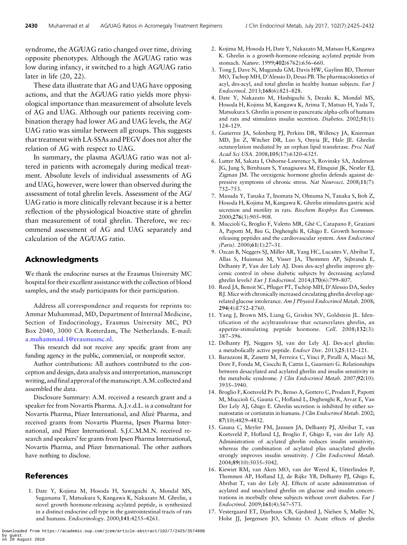<span id="page-5-0"></span>syndrome, the AG/UAG ratio changed over time, driving opposite phenotypes. Although the AG/UAG ratio was low during infancy, it switched to a high AG/UAG ratio later in life [\(20, 22](#page-6-0)).

These data illustrate that AG and UAG have opposing actions, and that the AG/UAG ratio yields more physiological importance than measurement of absolute levels of AG and UAG. Although our patients receiving combination therapy had lower AG and UAG levels, the AG/ UAG ratio was similar between all groups. This suggests that treatment with LA-SSAs and PEGV does not alter the relation of AG with respect to UAG.

In summary, the plasma AG/UAG ratio was not altered in patients with acromegaly during medical treatment. Absolute levels of individual assessments of AG and UAG, however, were lower than observed during the assessment of total ghrelin levels. Assessment of the AG/ UAG ratio is more clinically relevant because it is a better reflection of the physiological bioactive state of ghrelin than measurement of total ghrelin. Therefore, we recommend assessment of AG and UAG separately and calculation of the AG/UAG ratio.

## Acknowledgments

We thank the endocrine nurses at the Erasmus University MC hospital for their excellent assistance with the collection of blood samples, and the study participants for their participation.

Address all correspondence and requests for reprints to: Ammar Muhammad, MD, Department of Internal Medicine, Section of Endocrinology, Erasmus University MC, PO Box 2040, 3000 CA Rotterdam, The Netherlands. E-mail: [a.muhammad.1@erasmusmc.nl.](mailto:a.muhammad.1@erasmusmc.nl)

This research did not receive any specific grant from any funding agency in the public, commercial, or nonprofit sector.

Author contributions: All authors contributed to the conception and design, data analysis and interpretation, manuscript writing, and final approval of themanuscript. A.M. collected and assembled the data.

Disclosure Summary: A.M. received a research grant and a speaker fee from Novartis Pharma. A.J.v.d.L. is a consultant for Novartis Pharma, Pfizer International, and Alizé Pharma, and received grants from Novartis Pharma, Ipsen Pharma International, and Pfizer International. S.J.C.M.M.N. received research and speakers' fee grants from Ipsen Pharma International, Novartis Pharma, and Pfizer International. The other authors have nothing to disclose.

## References

1. Date Y, Kojima M, Hosoda H, Sawaguchi A, Mondal MS, Suganuma T, Matsukura S, Kangawa K, Nakazato M. Ghrelin, a novel growth hormone-releasing acylated peptide, is synthesized in a distinct endocrine cell type in the gastrointestinal tracts of rats and humans. Endocrinology. 2000;141:4255–4261.

- 2. Kojima M, Hosoda H, Date Y, Nakazato M, Matsuo H, Kangawa K. Ghrelin is a growth-hormone-releasing acylated peptide from stomach. Nature. 1999;402(6762):656–660.
- 3. Tong J, Dave N, Mugundu GM, Davis HW, Gaylinn BD, Thorner MO, Tschop MH, D'Alessio D, Desai PB. The pharmacokinetics of acyl, des-acyl, and total ghrelin in healthy human subjects. Eur J Endocrinol. 2013;168(6):821–828.
- 4. Date Y, Nakazato M, Hashiguchi S, Dezaki K, Mondal MS, Hosoda H, Kojima M, Kangawa K, Arima T, Matsuo H, Yada T, Matsukura S. Ghrelin is present in pancreatic alpha-cells of humans and rats and stimulates insulin secretion. Diabetes. 2002;51(1): 124–129.
- 5. Gutierrez JA, Solenberg PJ, Perkins DR, Willency JA, Knierman MD, Jin Z, Witcher DR, Luo S, Onyia JE, Hale JE. Ghrelin octanoylation mediated by an orphan lipid transferase. Proc Natl Acad Sci USA. 2008;105(17):6320–6325.
- 6. Lutter M, Sakata I, Osborne-Lawrence S, Rovinsky SA, Anderson JG, Jung S, Birnbaum S, Yanagisawa M, Elmquist JK, Nestler EJ, Zigman JM. The orexigenic hormone ghrelin defends against depressive symptoms of chronic stress. Nat Neurosci. 2008;11(7): 752–753.
- 7. Masuda Y, Tanaka T, Inomata N, Ohnuma N, Tanaka S, Itoh Z, Hosoda H, Kojima M, Kangawa K. Ghrelin stimulates gastric acid secretion and motility in rats. Biochem Biophys Res Commun. 2000;276(3):905–908.
- 8. Muccioli G, Broglio F, Valetto MR, Ghè C, Catapano F, Graziani A, Papotti M, Bisi G, Deghenghi R, Ghigo E. Growth hormonereleasing peptides and the cardiovascular system. Ann Endocrinol (Paris). 2000;61(1):27–31.
- 9. Ozcan B, Neggers SJ, Miller AR, Yang HC, Lucaites V, Abribat T, Allas S, Huisman M, Visser JA, Themmen AP, Sijbrands E, Delhanty P, Van der Lely AJ. Does des-acyl ghrelin improve glycemic control in obese diabetic subjects by decreasing acylated ghrelin levels? Eur J Endocrinol. 2014;170(6):799–807.
- 10. Reed JA, Benoit SC, Pfluger PT, Tschöp MH, D'Alessio DA, Seeley RJ. Mice with chronically increased circulating ghrelin develop agerelated glucose intolerance. Am J Physiol Endocrinol Metab. 2008; 294(4):E752–E760.
- 11. Yang J, Brown MS, Liang G, Grishin NV, Goldstein JL. Identification of the acyltransferase that octanoylates ghrelin, an appetite-stimulating peptide hormone. Cell. 2008;132(3): 387–396.
- 12. Delhanty PJ, Neggers SJ, van der Lely AJ. Des-acyl ghrelin: a metabolically active peptide. Endocr Dev. 2013;25:112–121.
- 13. Barazzoni R, Zanetti M, Ferreira C, Vinci P, Pirulli A, Mucci M, Dore F, Fonda M, Ciocchi B, Cattin L, Guarnieri G. Relationships between desacylated and acylated ghrelin and insulin sensitivity in the metabolic syndrome. J Clin Endocrinol Metab. 2007;92(10): 3935–3940.
- 14. Broglio F, Koetsveld Pv Pv, Benso A, Gottero C, Prodam F, Papotti M, Muccioli G, Gauna C, Hofland L, Deghenghi R, Arvat E, Van Der Lely AJ, Ghigo E. Ghrelin secretion is inhibited by either somatostatin or cortistatin in humans. J Clin Endocrinol Metab. 2002; 87(10):4829–4832.
- 15. Gauna C, Meyler FM, Janssen JA, Delhanty PJ, Abribat T, van Koetsveld P, Hofland LJ, Broglio F, Ghigo E, van der Lely AJ. Administration of acylated ghrelin reduces insulin sensitivity, whereas the combination of acylated plus unacylated ghrelin strongly improves insulin sensitivity. J Clin Endocrinol Metab. 2004;89(10):5035–5042.
- 16. Kiewiet RM, van Aken MO, van der Weerd K, Uitterlinden P, Themmen AP, Hofland LJ, de Rijke YB, Delhanty PJ, Ghigo E, Abribat T, van der Lely AJ. Effects of acute administration of acylated and unacylated ghrelin on glucose and insulin concentrations in morbidly obese subjects without overt diabetes. Eur J Endocrinol. 2009;161(4):567–573.
- 17. Vestergaard ET, Djurhuus CB, Gjedsted J, Nielsen S, Møller N, Holst JJ, Jørgensen JO, Schmitz O. Acute effects of ghrelin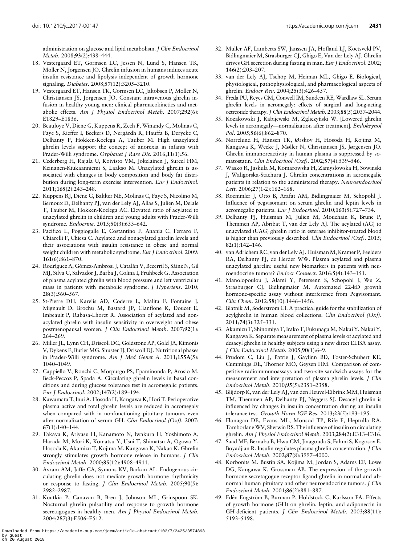<span id="page-6-0"></span>administration on glucose and lipid metabolism. J Clin Endocrinol Metab. 2008;93(2):438–444.

- 18. Vestergaard ET, Gormsen LC, Jessen N, Lund S, Hansen TK, Moller N, Jorgensen JO. Ghrelin infusion in humans induces acute insulin resistance and lipolysis independent of growth hormone signaling. Diabetes. 2008;57(12):3205–3210.
- 19. Vestergaard ET, Hansen TK, Gormsen LC, Jakobsen P, Moller N, Christiansen JS, Jorgensen JO. Constant intravenous ghrelin infusion in healthy young men: clinical pharmacokinetics and metabolic effects. Am J Physiol Endocrinol Metab. 2007;292(6): E1829–E1836.
- 20. Beauloye V, Diene G, Kuppens R, Zech F, Winandy C, Molinas C, Faye S, Kieffer I, Beckers D, Nergårdh R, Hauffa B, Derycke C, Delhanty P, Hokken-Koelega A, Tauber M. High unacylated ghrelin levels support the concept of anorexia in infants with Prader-Willi syndrome. Orphanet J Rare Dis. 2016;11(1):56.
- 21. Cederberg H, Rajala U, Koivisto VM, Jokelainen J, Surcel HM, Keinanen-Kiukaanniemi S, Laakso M. Unacylated ghrelin is associated with changes in body composition and body fat distribution during long-term exercise intervention. Eur J Endocrinol. 2011;165(2):243–248.
- 22. Kuppens RJ, Diène G, Bakker NE, Molinas C, Faye S, Nicolino M, Bernoux D, Delhanty PJ, van der Lely AJ, Allas S, Julien M, Delale T, Tauber M, Hokken-Koelega AC. Elevated ratio of acylated to unacylated ghrelin in children and young adults with Prader-Willi syndrome. Endocrine. 2015;50(3):633–642.
- 23. Pacifico L, Poggiogalle E, Costantino F, Anania C, Ferraro F, Chiarelli F, Chiesa C. Acylated and nonacylated ghrelin levels and their associations with insulin resistance in obese and normal weight children with metabolic syndrome. Eur J Endocrinol. 2009; 161(6):861–870.
- 24. Rodríguez A, Gómez-Ambrosi J, Catalán V, Becerril S, Sáinz N, Gil MJ, Silva C, Salvador J, Barba J, Colina I, Frühbeck G. Association of plasma acylated ghrelin with blood pressure and left ventricular mass in patients with metabolic syndrome. J Hypertens. 2010; 28(3):560–567.
- 25. St-Pierre DH, Karelis AD, Coderre L, Malita F, Fontaine J, Mignault D, Brochu M, Bastard JP, Cianflone K, Doucet E, Imbeault P, Rabasa-Lhoret R. Association of acylated and nonacylated ghrelin with insulin sensitivity in overweight and obese postmenopausal women. J Clin Endocrinol Metab. 2007;92(1): 264–269.
- 26. Miller JL, Lynn CH, Driscoll DC, Goldstone AP, Gold JA, Kimonis V, Dykens E, Butler MG, Shuster JJ, Driscoll DJ. Nutritional phases in Prader-Willi syndrome. Am J Med Genet A. 2011;155A(5): 1040–1049.
- 27. Cappiello V, Ronchi C, Morpurgo PS, Epaminonda P, Arosio M, Beck-Peccoz P, Spada A. Circulating ghrelin levels in basal conditions and during glucose tolerance test in acromegalic patients. Eur J Endocrinol. 2002;147(2):189–194.
- 28. Kawamata T, Inui A, Hosoda H, Kangawa K, Hori T. Perioperative plasma active and total ghrelin levels are reduced in acromegaly when compared with in nonfunctioning pituitary tumours even after normalization of serum GH. Clin Endocrinol (Oxf). 2007; 67(1):140–144.
- 29. Takaya K, Ariyasu H, Kanamoto N, Iwakura H, Yoshimoto A, Harada M, Mori K, Komatsu Y, Usui T, Shimatsu A, Ogawa Y, Hosoda K, Akamizu T, Kojima M, Kangawa K, Nakao K. Ghrelin strongly stimulates growth hormone release in humans. *J Clin* Endocrinol Metab. 2000;85(12):4908–4911.
- 30. Avram AM, Jaffe CA, Symons KV, Barkan AL. Endogenous circulating ghrelin does not mediate growth hormone rhythmicity or response to fasting. J Clin Endocrinol Metab. 2005;90(5): 2982–2987.
- 31. Koutkia P, Canavan B, Breu J, Johnson ML, Grinspoon SK. Nocturnal ghrelin pulsatility and response to growth hormone secretagogues in healthy men. Am J Physiol Endocrinol Metab. 2004;287(3):E506–E512.
- 32. Muller AF, Lamberts SW, Janssen JA, Hofland LJ, Koetsveld PV, Bidlingmaier M, Strasburger CJ, Ghigo E, Van der Lely AJ. Ghrelin drives GH secretion during fasting in man. Eur J Endocrinol. 2002; 146(2):203–207.
- 33. van der Lely AJ, Tschöp M, Heiman ML, Ghigo E. Biological, physiological, pathophysiological, and pharmacological aspects of ghrelin. Endocr Rev. 2004;25(3):426–457.
- 34. Freda PU, Reyes CM, Conwell IM, Sundeen RE, Wardlaw SL. Serum ghrelin levels in acromegaly: effects of surgical and long-acting octreotide therapy. J Clin Endocrinol Metab. 2003;88(5):2037–2044.
- 35. Kozakowski J, Rabijewski M, Zgliczyński W. [Lowered ghrelin levels in acromegaly—normalization after treatment]. Endokrynol Pol. 2005;56(6):862–870.
- 36. Nørrelund H, Hansen TK, Ørskov H, Hosoda H, Kojima M, Kangawa K, Weeke J, Møller N, Christiansen JS, Jørgensen JO. Ghrelin immunoreactivity in human plasma is suppressed by somatostatin. Clin Endocrinol (Oxf). 2002;57(4):539–546.
- 37. Wasko R, Jaskula M, Komarowska H, Zamyslowska H, Sowinski J, Waligorska-Stachura J. Ghrelin concentrations in acromegalic patients in relation to the administered therapy. Neuroendocrinol Lett. 2006;27(1-2):162–168.
- 38. Roemmler J, Otto B, Arafat AM, Bidlingmaier M, Schopohl J. Influence of pegvisomant on serum ghrelin and leptin levels in acromegalic patients. Eur J Endocrinol. 2010;163(5):727–734.
- 39. Delhanty PJ, Huisman M, Julien M, Mouchain K, Brune P, Themmen AP, Abribat T, van der Lely AJ. The acylated (AG) to unacylated (UAG) ghrelin ratio in esterase inhibitor-treated blood is higher than previously described. Clin Endocrinol (Oxf). 2015; 82(1):142–146.
- 40. van Adrichem RC, van der Lely AJ, Huisman M, Kramer P, Feelders RA, Delhanty PJ, de Herder WW. Plasma acylated and plasma unacylated ghrelin: useful new biomarkers in patients with neuroendocrine tumors? Endocr Connect. 2016;5(4):143–151.
- 41. Manolopoulou J, Alami Y, Petersenn S, Schopohl J, Wu Z, Strasburger CJ, Bidlingmaier M. Automated 22-kD growth hormone-specific assay without interference from Pegvisomant. Clin Chem. 2012;58(10):1446–1456.
- 42. Blatnik M, Soderstrom CI. A practical guide for the stabilization of acylghrelin in human blood collections. Clin Endocrinol (Oxf). 2011;74(3):325–331.
- 43. Akamizu T, Shinomiya T, Irako T, FukunagaM, Nakai Y, Nakai Y, Kangawa K. Separate measurement of plasma levels of acylated and desacyl ghrelin in healthy subjects using a new direct ELISA assay. J Clin Endocrinol Metab. 2005;90(1):6–9.
- 44. Prudom C, Liu J, Patrie J, Gaylinn BD, Foster-Schubert KE, Cummings DE, Thorner MO, Geysen HM. Comparison of competitive radioimmunoassays and two-site sandwich assays for the measurement and interpretation of plasma ghrelin levels. J Clin Endocrinol Metab. 2010;95(5):2351–2358.
- 45. Blijdorp K, van der Lely AJ, van den Heuvel-Eibrink MM, Huisman TM, Themmen AP, Delhanty PJ, Neggers SJ. Desacyl ghrelin is influenced by changes in insulin concentration during an insulin tolerance test. Growth Horm IGF Res. 2013;23(5):193–195.
- 46. Flanagan DE, Evans ML, Monsod TP, Rife F, Heptulla RA, Tamborlane WV, Sherwin RS. The influence of insulin on circulating ghrelin. Am J Physiol Endocrinol Metab. 2003;284(2):E313–E316.
- 47. Saad MF, Bernaba B, Hwu CM, Jinagouda S, Fahmi S, Kogosov E, Boyadjian R. Insulin regulates plasma ghrelin concentration. J Clin Endocrinol Metab. 2002;87(8):3997–4000.
- 48. Korbonits M, Bustin SA, Kojima M, Jordan S, Adams EF, Lowe DG, Kangawa K, Grossman AB. The expression of the growth hormone secretagogue receptor ligand ghrelin in normal and abnormal human pituitary and other neuroendocrine tumors. J Clin Endocrinol Metab. 2001;86(2):881–887.
- 49. Edén Engström B, Burman P, Holdstock C, Karlsson FA. Effects of growth hormone (GH) on ghrelin, leptin, and adiponectin in GH-deficient patients. J Clin Endocrinol Metab. 2003;88(11): 5193–5198.

Downloaded from https://academic.oup.com/jcem/article-abstract/102/7/2425/3574898 by guest on 20 August 2018